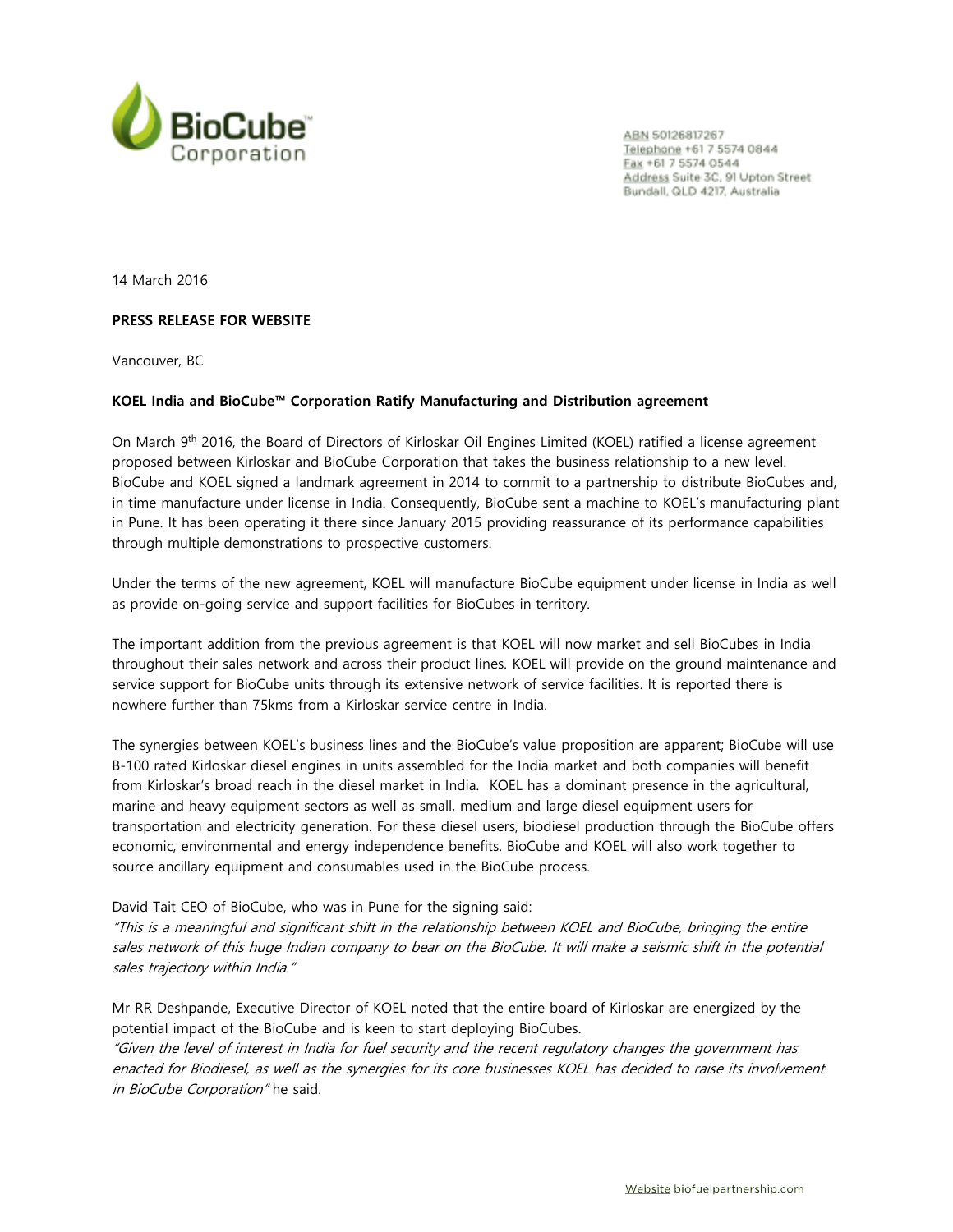

ABN 50126817267 Telephone +61 7 5574 0844 Eax +61 7 5574 0544 Address Suite 3C, 91 Upton Street Bundall, QLD 4217, Australia

14 March 2016

# **PRESS RELEASE FOR WEBSITE**

Vancouver, BC

# **KOEL India and BioCube™ Corporation Ratify Manufacturing and Distribution agreement**

On March 9<sup>th</sup> 2016, the Board of Directors of Kirloskar Oil Engines Limited (KOEL) ratified a license agreement proposed between Kirloskar and BioCube Corporation that takes the business relationship to a new level. BioCube and KOEL signed a landmark agreement in 2014 to commit to a partnership to distribute BioCubes and, in time manufacture under license in India. Consequently, BioCube sent a machine to KOEL's manufacturing plant in Pune. It has been operating it there since January 2015 providing reassurance of its performance capabilities through multiple demonstrations to prospective customers.

Under the terms of the new agreement, KOEL will manufacture BioCube equipment under license in India as well as provide on-going service and support facilities for BioCubes in territory.

The important addition from the previous agreement is that KOEL will now market and sell BioCubes in India throughout their sales network and across their product lines. KOEL will provide on the ground maintenance and service support for BioCube units through its extensive network of service facilities. It is reported there is nowhere further than 75kms from a Kirloskar service centre in India.

The synergies between KOEL's business lines and the BioCube's value proposition are apparent; BioCube will use B-100 rated Kirloskar diesel engines in units assembled for the India market and both companies will benefit from Kirloskar's broad reach in the diesel market in India. KOEL has a dominant presence in the agricultural, marine and heavy equipment sectors as well as small, medium and large diesel equipment users for transportation and electricity generation. For these diesel users, biodiesel production through the BioCube offers economic, environmental and energy independence benefits. BioCube and KOEL will also work together to source ancillary equipment and consumables used in the BioCube process.

David Tait CEO of BioCube, who was in Pune for the signing said:

"This is a meaningful and significant shift in the relationship between KOEL and BioCube, bringing the entire sales network of this huge Indian company to bear on the BioCube. It will make a seismic shift in the potential sales trajectory within India."

Mr RR Deshpande, Executive Director of KOEL noted that the entire board of Kirloskar are energized by the potential impact of the BioCube and is keen to start deploying BioCubes.

"Given the level of interest in India for fuel security and the recent regulatory changes the government has enacted for Biodiesel, as well as the synergies for its core businesses KOEL has decided to raise its involvement in BioCube Corporation" he said.